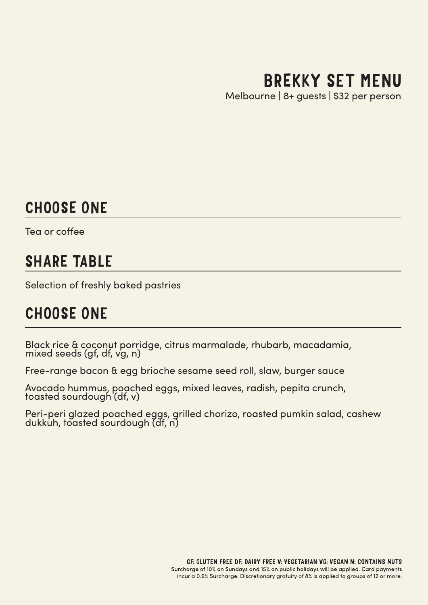# BREKKY SET MENU

Melbourne | 8+ guests | \$32 per person

## CHOOSE ONE

Tea or coffee

## SHARE TABLE

Selection of freshly baked pastries

## CHOOSE ONE

Black rice & coconut porridge, citrus marmalade, rhubarb, macadamia, mixed seeds (gf, df, vg, n)

Free-range bacon & egg brioche sesame seed roll, slaw, burger sauce

Avocado hummus, poached eggs, mixed leaves, radish, pepita crunch, toasted sourdough (df, v)

Peri-peri glazed poached eggs, grilled chorizo, roasted pumkin salad, cashew dukkuh, toasted sourdough (df, n)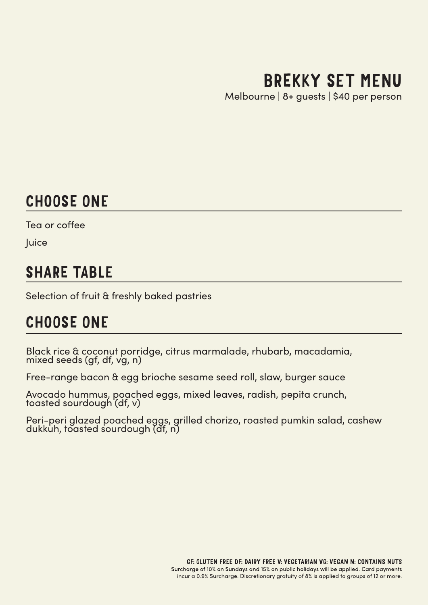# BREKKY SET MENU

Melbourne | 8+ guests | \$40 per person

## CHOOSE ONE

Tea or coffee

**Juice** 

## SHARE TABLE

Selection of fruit & freshly baked pastries

## CHOOSE ONE

Black rice & coconut porridge, citrus marmalade, rhubarb, macadamia, mixed seeds (gf, df, vg, n)

Free-range bacon & egg brioche sesame seed roll, slaw, burger sauce

Avocado hummus, poached eggs, mixed leaves, radish, pepita crunch, toasted sourdough (df, v)

Peri-peri glazed poached eggs, grilled chorizo, roasted pumkin salad, cashew dukkuh, toasted sourdough (df, n)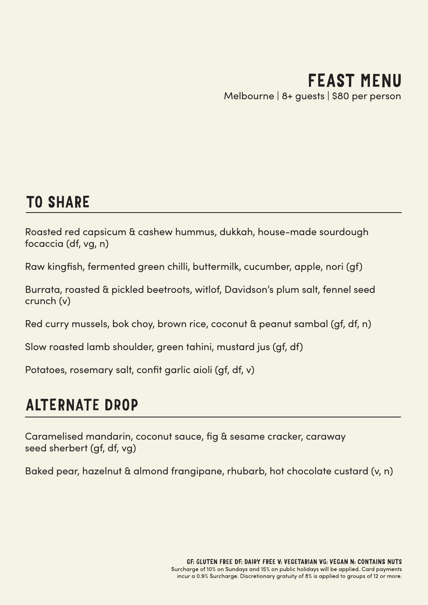#### FEAST MENU Melbourne | 8+ guests | \$80 per person

## TO SHARE

Roasted red capsicum & cashew hummus, dukkah, house-made sourdough focaccia (df, vg, n)

Raw kingfish, fermented green chilli, buttermilk, cucumber, apple, nori (gf)

Burrata, roasted & pickled beetroots, witlof, Davidson's plum salt, fennel seed crunch (v)

Red curry mussels, bok choy, brown rice, coconut & peanut sambal (gf, df, n)

Slow roasted lamb shoulder, green tahini, mustard jus (gf, df)

Potatoes, rosemary salt, confit garlic aioli (gf, df, v)

## ALTERNATE DROP

Caramelised mandarin, coconut sauce, fig & sesame cracker, caraway seed sherbert (gf, df, vg)

Baked pear, hazelnut & almond frangipane, rhubarb, hot chocolate custard (v, n)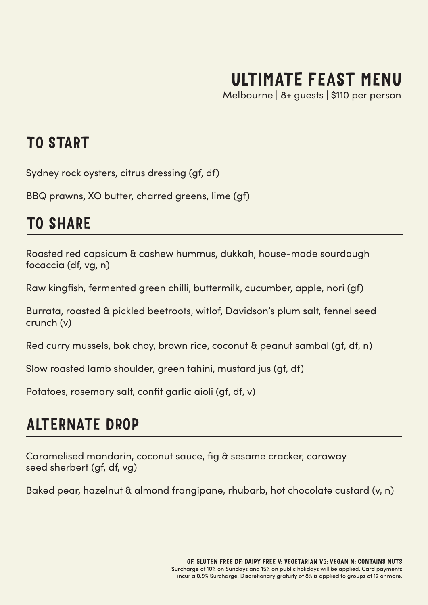# ULTIMATE FEAST MENU

Melbourne | 8+ guests | \$110 per person

### TO START

Sydney rock oysters, citrus dressing (gf, df)

BBQ prawns, XO butter, charred greens, lime (gf)

## TO SHARE

Roasted red capsicum & cashew hummus, dukkah, house-made sourdough focaccia (df, vg, n)

Raw kingfish, fermented green chilli, buttermilk, cucumber, apple, nori (gf)

Burrata, roasted & pickled beetroots, witlof, Davidson's plum salt, fennel seed crunch (v)

Red curry mussels, bok choy, brown rice, coconut & peanut sambal (gf, df, n)

Slow roasted lamb shoulder, green tahini, mustard jus (gf, df)

Potatoes, rosemary salt, confit garlic aioli (gf, df, v)

## ALTERNATE DROP

Caramelised mandarin, coconut sauce, fig & sesame cracker, caraway seed sherbert (gf, df, vg)

Baked pear, hazelnut & almond frangipane, rhubarb, hot chocolate custard (v, n)